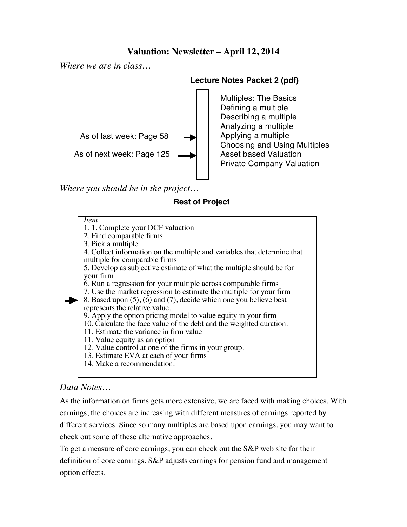# **Valuation: Newsletter – April 12, 2014**

*Where we are in class…*



*Where you should be in the project…*

### **Lecture Notes Packet 2 (pdf)**

Multiples: The Basics Defining a multiple Describing a multiple Analyzing a multiple Applying a multiple Choosing and Using Multiples Asset based Valuation Private Company Valuation

### **Rest of Project**

*Item* 1. 1. Complete your DCF valuation 2. Find comparable firms 3. Pick a multiple 4. Collect information on the multiple and variables that determine that multiple for comparable firms 5. Develop as subjective estimate of what the multiple should be for your firm 6. Run a regression for your multiple across comparable firms 7. Use the market regression to estimate the multiple for your firm 8. Based upon  $(5)$ ,  $(6)$  and  $(7)$ , decide which one you believe best represents the relative value. 9. Apply the option pricing model to value equity in your firm 10. Calculate the face value of the debt and the weighted duration. 11. Estimate the variance in firm value 11. Value equity as an option 12. Value control at one of the firms in your group. 13. Estimate EVA at each of your firms

14. Make a recommendation.

# *Data Notes…*

As the information on firms gets more extensive, we are faced with making choices. With earnings, the choices are increasing with different measures of earnings reported by different services. Since so many multiples are based upon earnings, you may want to check out some of these alternative approaches.

To get a measure of core earnings, you can check out the S&P web site for their definition of core earnings. S&P adjusts earnings for pension fund and management option effects.